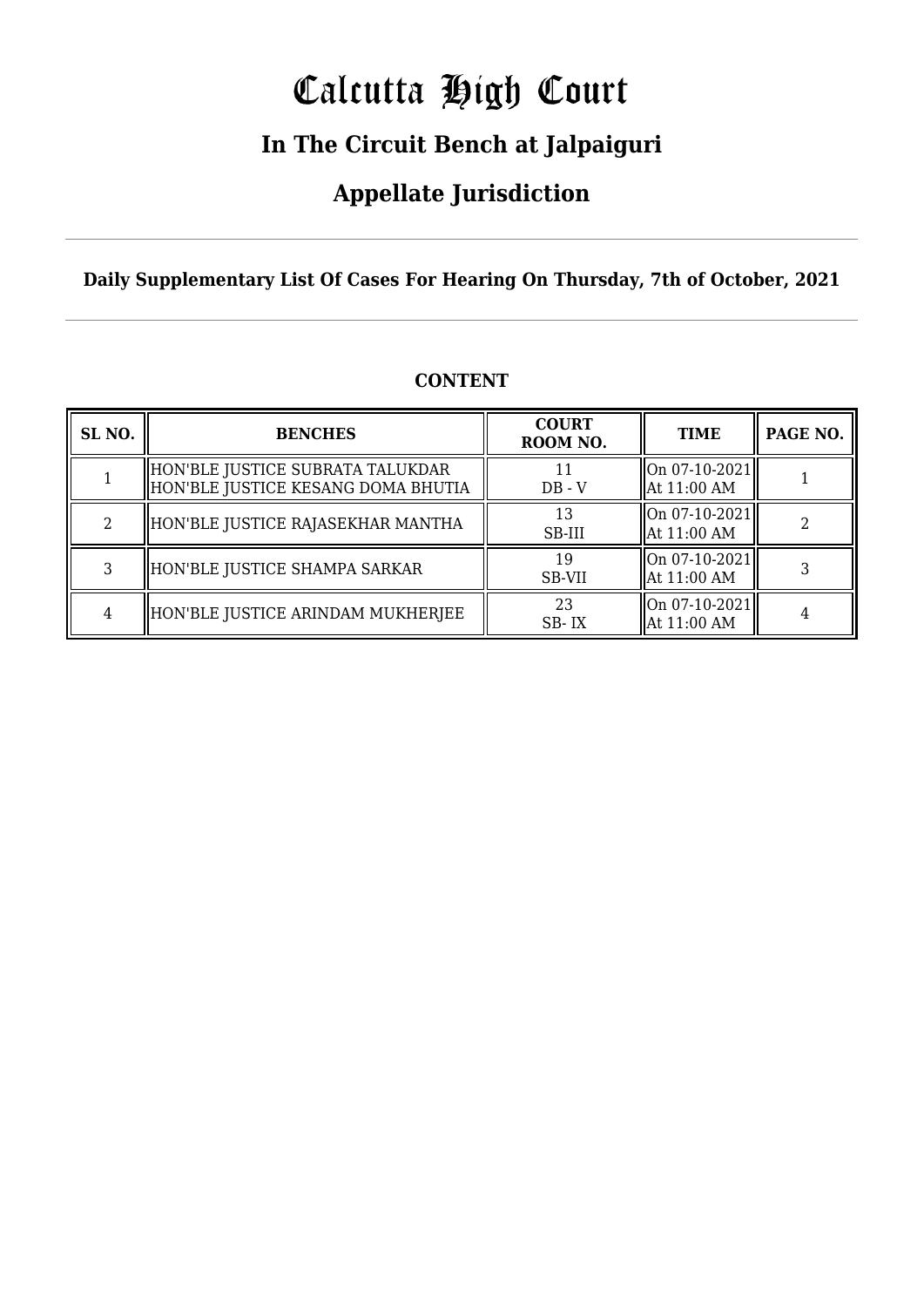# Calcutta High Court

### **In The Circuit Bench at Jalpaiguri**

### **Appellate Jurisdiction**

**Daily Supplementary List Of Cases For Hearing On Thursday, 7th of October, 2021**

| SL <sub>NO.</sub> | <b>BENCHES</b>                                                         | <b>COURT</b><br>ROOM NO. | <b>TIME</b>                                  | PAGE NO. |
|-------------------|------------------------------------------------------------------------|--------------------------|----------------------------------------------|----------|
|                   | HON'BLE JUSTICE SUBRATA TALUKDAR<br>HON'BLE JUSTICE KESANG DOMA BHUTIA | $DB - V$                 | $\vert$ On 07-10-2021 $\vert$<br>At 11:00 AM |          |
| 2                 | HON'BLE JUSTICE RAJASEKHAR MANTHA                                      | 13<br>SB-III             | $\vert$ On 07-10-2021 $\vert$<br>At 11:00 AM |          |
| 3                 | HON'BLE JUSTICE SHAMPA SARKAR                                          | 19<br><b>SB-VII</b>      | On 07-10-2021<br>At 11:00 AM                 |          |
|                   | HON'BLE JUSTICE ARINDAM MUKHERJEE                                      | 23<br>SB-IX              | $\vert$ On 07-10-2021 $\vert$<br>At 11:00 AM |          |

#### **CONTENT**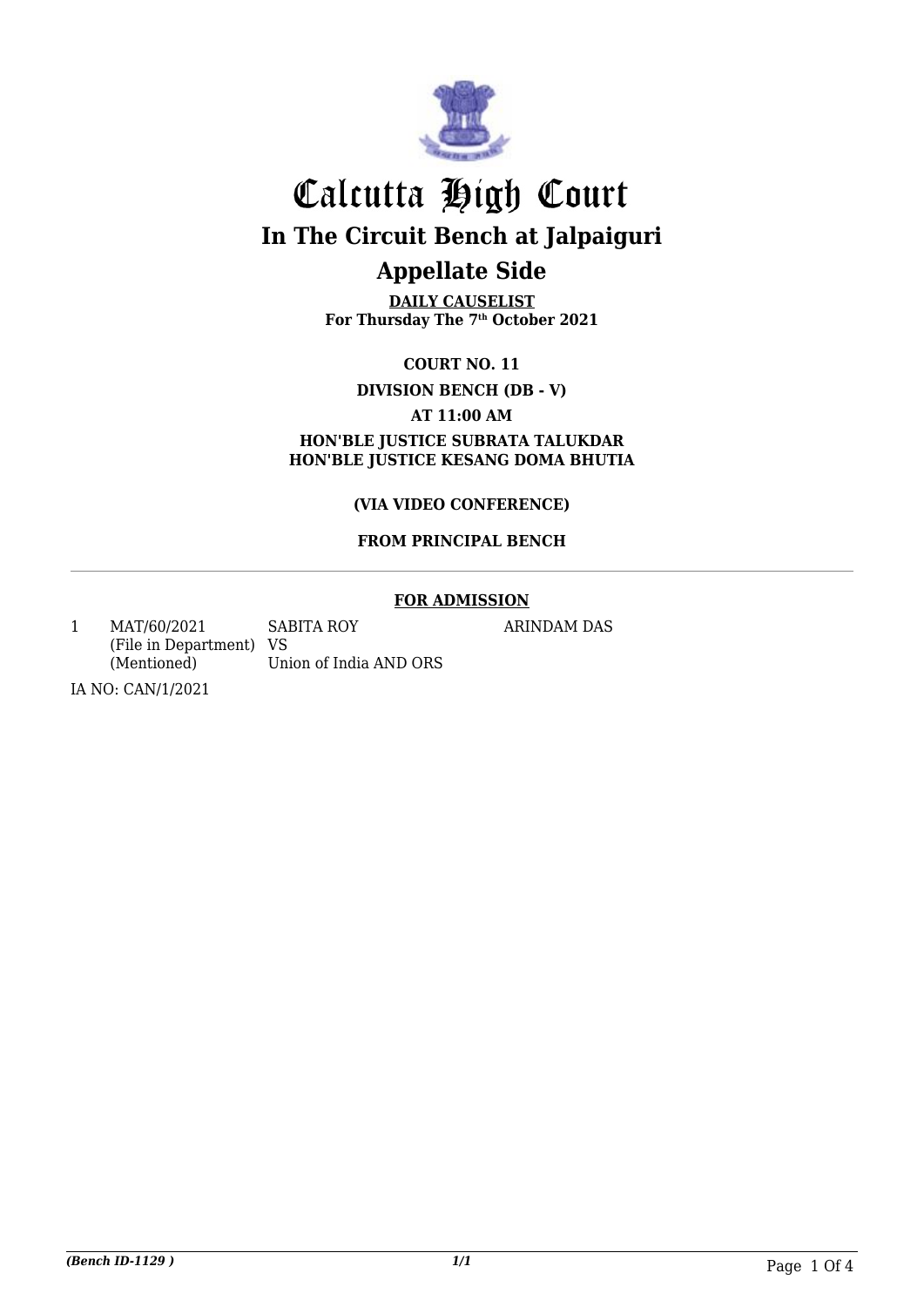

**DAILY CAUSELIST For Thursday The 7th October 2021**

**COURT NO. 11**

**DIVISION BENCH (DB - V)**

**AT 11:00 AM**

**HON'BLE JUSTICE SUBRATA TALUKDAR HON'BLE JUSTICE KESANG DOMA BHUTIA**

**(VIA VIDEO CONFERENCE)**

#### **FROM PRINCIPAL BENCH**

#### **FOR ADMISSION**

1 MAT/60/2021 (File in Department) VS (Mentioned) SABITA ROY Union of India AND ORS

ARINDAM DAS

IA NO: CAN/1/2021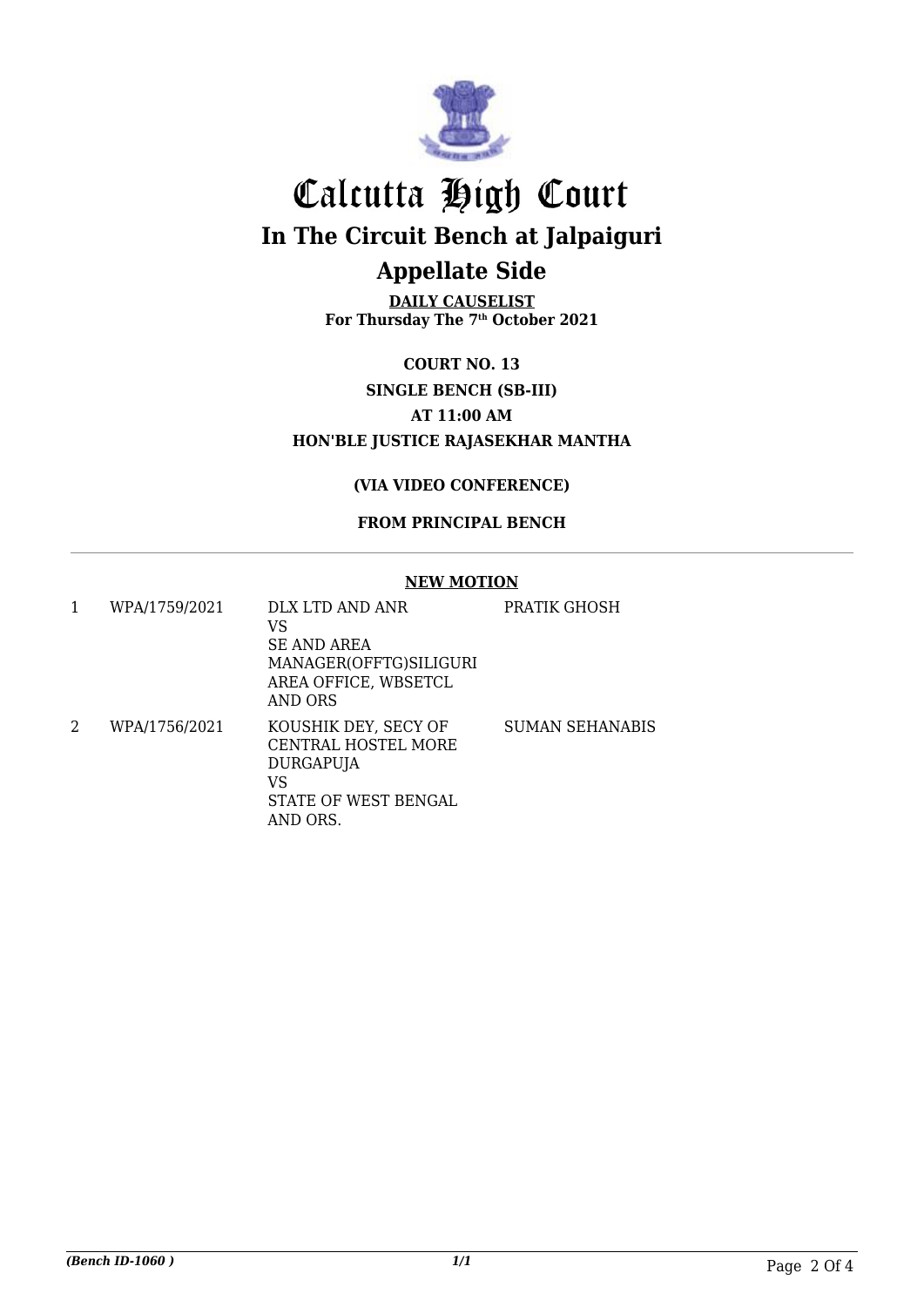

**DAILY CAUSELIST For Thursday The 7th October 2021**

**COURT NO. 13 SINGLE BENCH (SB-III) AT 11:00 AM HON'BLE JUSTICE RAJASEKHAR MANTHA**

#### **(VIA VIDEO CONFERENCE)**

#### **FROM PRINCIPAL BENCH**

#### **NEW MOTION**

| 1 | WPA/1759/2021 | DLX LTD AND ANR<br>VS<br><b>SE AND AREA</b><br>MANAGER(OFFTG)SILIGURI<br>AREA OFFICE, WBSETCL<br>AND ORS | PRATIK GHOSH    |
|---|---------------|----------------------------------------------------------------------------------------------------------|-----------------|
| 2 | WPA/1756/2021 | KOUSHIK DEY, SECY OF<br>CENTRAL HOSTEL MORE<br>DURGAPUJA<br>VS<br>STATE OF WEST BENGAL<br>AND ORS.       | SUMAN SEHANABIS |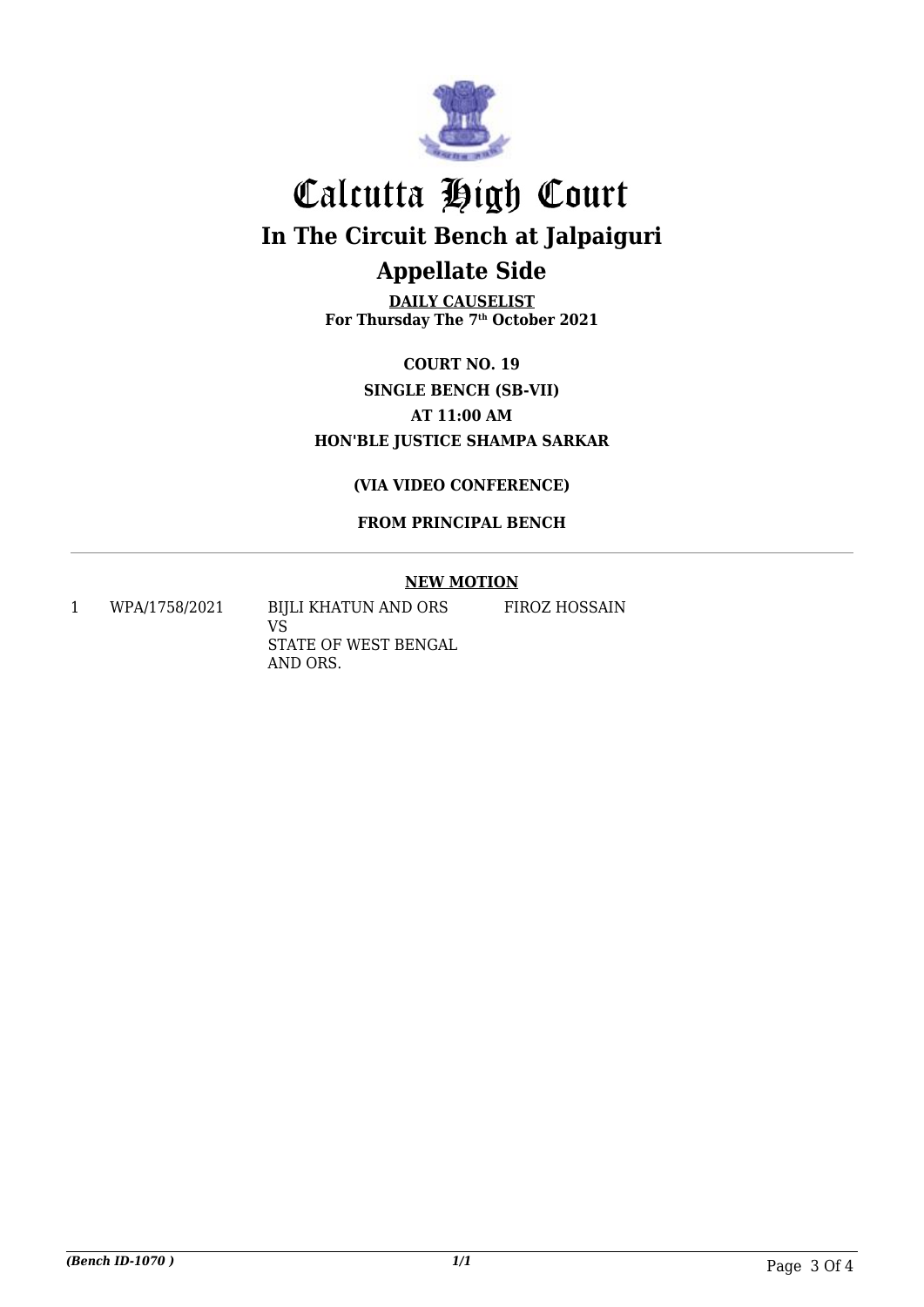

**DAILY CAUSELIST For Thursday The 7th October 2021**

**COURT NO. 19 SINGLE BENCH (SB-VII) AT 11:00 AM HON'BLE JUSTICE SHAMPA SARKAR**

**(VIA VIDEO CONFERENCE)**

**FROM PRINCIPAL BENCH**

#### **NEW MOTION**

FIROZ HOSSAIN

1 WPA/1758/2021 BIJLI KHATUN AND ORS

VS STATE OF WEST BENGAL AND ORS.